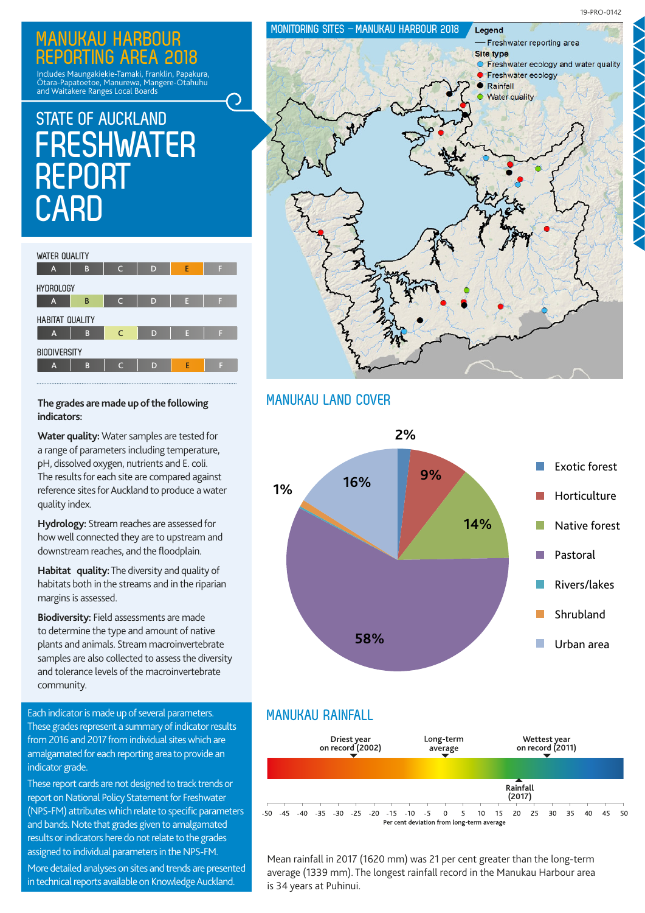## **MANUKAU HARBOUR REPORTING AREA 2018**

Includes Maungakiekie-Tamaki, Franklin, Papakura, Ōtara-Papatoetoe, Manurewa, Mangere-Otahuhu and Waitakere Ranges Local Boards

# **STATE OF AUCKLAND FRESHWATER REPORT CARD**



### **The grades are made up of the following indicators:**

**Water quality:** Water samples are tested for a range of parameters including temperature, pH, dissolved oxygen, nutrients and E. coli. The results for each site are compared against reference sites for Auckland to produce a water quality index.

**Hydrology:** Stream reaches are assessed for how well connected they are to upstream and downstream reaches, and the floodplain.

**Habitat quality:** The diversity and quality of habitats both in the streams and in the riparian margins is assessed.

**Biodiversity:** Field assessments are made to determine the type and amount of native plants and animals. Stream macroinvertebrate samples are also collected to assess the diversity and tolerance levels of the macroinvertebrate community.

Each indicator is made up of several parameters. **MANUKAU RAINFALL** These grades represent a summary of indicator results from 2016 and 2017 from individual sites which are amalgamated for each reporting area to provide an indicator grade.

These report cards are not designed to track trends or report on National Policy Statement for Freshwater (NPS-FM) attributes which relate to specific parameters and bands. Note that grades given to amalgamated results or indicators here do not relate to the grades assigned to individual parameters in the NPS-FM.

More detailed analyses on sites and trends are presented in technical reports available on Knowledge Auckland.



## **MANUKAU LAND COVER**





Mean rainfall in 2017 (1620 mm) was 21 per cent greater than the long-term average (1339 mm). The longest rainfall record in the Manukau Harbour area is 34 years at Puhinui.

19-PRO-0142